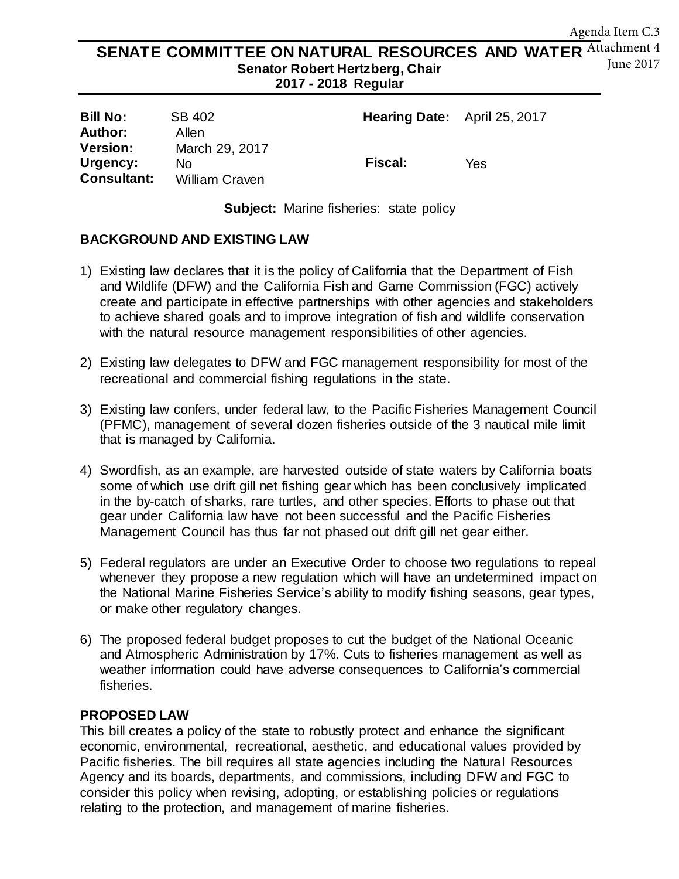#### SENATE COMMITTEE ON NATURAL RESOURCES AND WATER Attachment 4 **Senator Robert Hertzberg, Chair 2017 - 2018 Regular**  June 2017

| <b>Bill No:</b>    | SB 402         | Hearing Date: April 25, 2017 |     |
|--------------------|----------------|------------------------------|-----|
| Author:            | Allen          |                              |     |
| <b>Version:</b>    | March 29, 2017 |                              |     |
| Urgency:           | No             | <b>Fiscal:</b>               | Yes |
| <b>Consultant:</b> | William Craven |                              |     |

**Subject:** Marine fisheries: state policy

## **BACKGROUND AND EXISTING LAW**

- 1) Existing law declares that it is the policy of California that the Department of Fish and Wildlife (DFW) and the California Fish and Game Commission (FGC) actively create and participate in effective partnerships with other agencies and stakeholders to achieve shared goals and to improve integration of fish and wildlife conservation with the natural resource management responsibilities of other agencies.
- 2) Existing law delegates to DFW and FGC management responsibility for most of the recreational and commercial fishing regulations in the state.
- 3) Existing law confers, under federal law, to the Pacific Fisheries Management Council (PFMC), management of several dozen fisheries outside of the 3 nautical mile limit that is managed by California.
- 4) Swordfish, as an example, are harvested outside of state waters by California boats some of which use drift gill net fishing gear which has been conclusively implicated in the by-catch of sharks, rare turtles, and other species. Efforts to phase out that gear under California law have not been successful and the Pacific Fisheries Management Council has thus far not phased out drift gill net gear either.
- 5) Federal regulators are under an Executive Order to choose two regulations to repeal whenever they propose a new regulation which will have an undetermined impact on the National Marine Fisheries Service's ability to modify fishing seasons, gear types, or make other regulatory changes.
- 6) The proposed federal budget proposes to cut the budget of the National Oceanic and Atmospheric Administration by 17%. Cuts to fisheries management as well as weather information could have adverse consequences to California's commercial fisheries.

#### **PROPOSED LAW**

This bill creates a policy of the state to robustly protect and enhance the significant economic, environmental, recreational, aesthetic, and educational values provided by Pacific fisheries. The bill requires all state agencies including the Natural Resources Agency and its boards, departments, and commissions, including DFW and FGC to consider this policy when revising, adopting, or establishing policies or regulations relating to the protection, and management of marine fisheries.